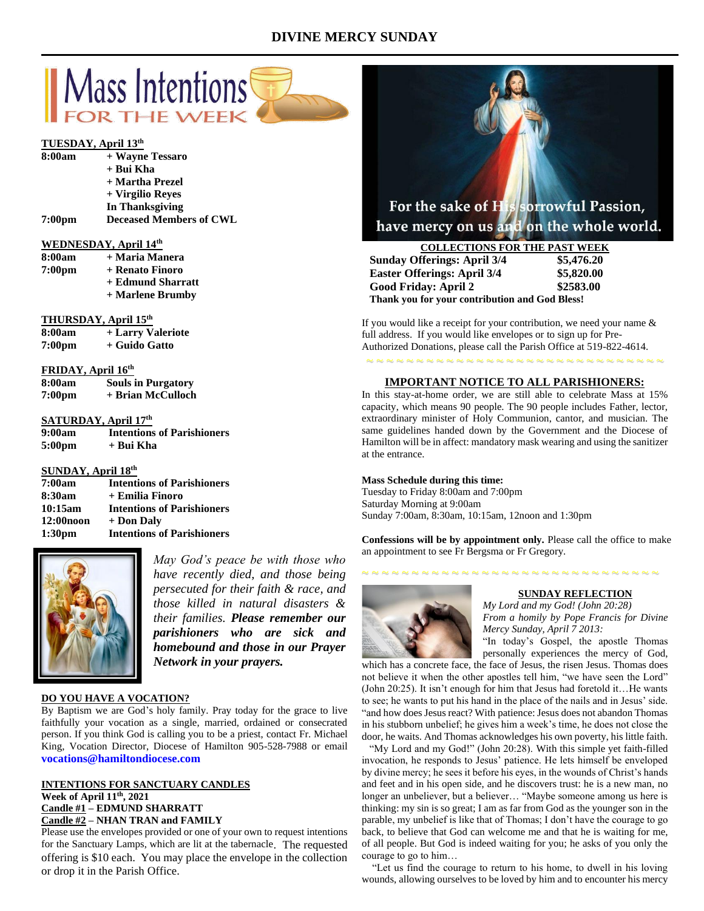# **DIVINE MERCY SUNDAY**



## **TUESDAY, April 13th**

| + Wayne Tessaro                |
|--------------------------------|
| + Bui Kha                      |
| + Martha Prezel                |
| + Virgilio Reves               |
| In Thanksgiving                |
| <b>Deceased Members of CWL</b> |
|                                |

## **WEDNESDAY, April 14th**

| 8:00am             | + Maria Manera    |
|--------------------|-------------------|
| 7:00 <sub>pm</sub> | + Renato Finoro   |
|                    | + Edmund Sharratt |
|                    | + Marlene Brumby  |
|                    |                   |

## **THURSDAY, April 15th**

| 8:00am             | + Larry Valeriote |
|--------------------|-------------------|
| 7:00 <sub>pm</sub> | + Guido Gatto     |

#### **FRIDAY, April 16th**

| 8:00am             | <b>Souls in Purgatory</b> |
|--------------------|---------------------------|
| 7:00 <sub>pm</sub> | + Brian McCulloch         |

## **SATURDAY, April 17 th**

| 9:00am | <b>Intentions of Parishioners</b> |
|--------|-----------------------------------|
| 5:00pm | + Bui Kha                         |

## **SUNDAY, April 18 th**

| 7:00am             | <b>Intentions of Parishioners</b> |
|--------------------|-----------------------------------|
| 8:30am             | + Emilia Finoro                   |
| 10:15am            | <b>Intentions of Parishioners</b> |
| $12:00$ noon       | + Don Daly                        |
| 1:30 <sub>pm</sub> | <b>Intentions of Parishioners</b> |



*May God's peace be with those who have recently died, and those being persecuted for their faith & race, and those killed in natural disasters & their families. Please remember our parishioners who are sick and homebound and those in our Prayer Network in your prayers.*

## **DO YOU HAVE A VOCATION?**

By Baptism we are God's holy family. Pray today for the grace to live faithfully your vocation as a single, married, ordained or consecrated person. If you think God is calling you to be a priest, contact Fr. Michael King, Vocation Director, Diocese of Hamilton 905-528-7988 or email **vocations@hamiltondiocese.com** 

## **INTENTIONS FOR SANCTUARY CANDLES Week of April 11th, 2021 Candle #1 – EDMUND SHARRATT Candle #2 – NHAN TRAN and FAMILY**

Please use the envelopes provided or one of your own to request intentions for the Sanctuary Lamps, which are lit at the tabernacle. The requested offering is \$10 each. You may place the envelope in the collection or drop it in the Parish Office.



# have mercy on us and on the whole world.

| <b>COLLECTIONS FOR THE PAST WEEK</b>           |            |
|------------------------------------------------|------------|
| <b>Sunday Offerings: April 3/4</b>             | \$5,476.20 |
| <b>Easter Offerings: April 3/4</b>             | \$5,820.00 |
| Good Friday: April 2                           | \$2583.00  |
| Thank you for your contribution and God Bless! |            |

If you would like a receipt for your contribution, we need your name  $\&$ full address. If you would like envelopes or to sign up for Pre-Authorized Donations, please call the Parish Office at 519-822-4614.

## **IMPORTANT NOTICE TO ALL PARISHIONERS:**

~ ~ ~ ~ ~ ~ ~ ~ ~ ~ ~ ~ ~ ~ ~ ~ ~ ~ ~ ~ ~ ~ ~ ~ ~ ~ ~ ~ ~ ~

In this stay-at-home order, we are still able to celebrate Mass at 15% capacity, which means 90 people. The 90 people includes Father, lector, extraordinary minister of Holy Communion, cantor, and musician. The same guidelines handed down by the Government and the Diocese of Hamilton will be in affect: mandatory mask wearing and using the sanitizer at the entrance.

## **Mass Schedule during this time:**

Tuesday to Friday 8:00am and 7:00pm Saturday Morning at 9:00am Sunday 7:00am, 8:30am, 10:15am, 12noon and 1:30pm

**Confessions will be by appointment only.** Please call the office to make an appointment to see Fr Bergsma or Fr Gregory.

~ ~ ~ ~ ~ ~ ~ ~ ~ ~ ~ ~ ~ ~ ~ ~ ~ ~ ~ ~ ~ ~ ~ ~ ~ ~ ~ ~ ~ ~



## **SUNDAY REFLECTION**

*My Lord and my God! (John 20:28) From a homily by Pope Francis for Divine Mercy Sunday, April 7 2013:*

"In today's Gospel, the apostle Thomas personally experiences the mercy of God,

which has a concrete face, the face of Jesus, the risen Jesus. Thomas does not believe it when the other apostles tell him, "we have seen the Lord" (John 20:25). It isn't enough for him that Jesus had foretold it…He wants to see; he wants to put his hand in the place of the nails and in Jesus' side. "and how does Jesus react? With patience: Jesus does not abandon Thomas in his stubborn unbelief; he gives him a week's time, he does not close the door, he waits. And Thomas acknowledges his own poverty, his little faith.

 "My Lord and my God!" (John 20:28). With this simple yet faith-filled invocation, he responds to Jesus' patience. He lets himself be enveloped by divine mercy; he sees it before his eyes, in the wounds of Christ's hands and feet and in his open side, and he discovers trust: he is a new man, no longer an unbeliever, but a believer… "Maybe someone among us here is thinking: my sin is so great; I am as far from God as the younger son in the parable, my unbelief is like that of Thomas; I don't have the courage to go back, to believe that God can welcome me and that he is waiting for me, of all people. But God is indeed waiting for you; he asks of you only the courage to go to him…

 "Let us find the courage to return to his home, to dwell in his loving wounds, allowing ourselves to be loved by him and to encounter his mercy